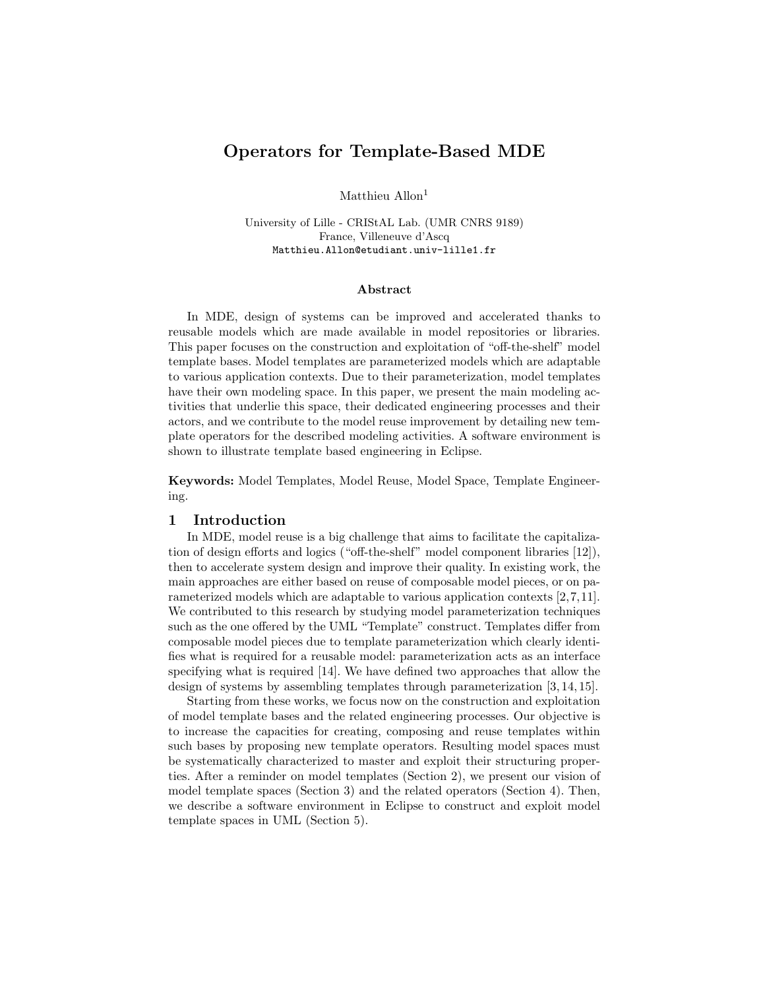# <span id="page-0-1"></span>Operators for Template-Based MDE

Matthieu Allon<sup>1</sup>

University of Lille - CRIStAL Lab. (UMR CNRS 9189) France, Villeneuve d'Ascq Matthieu.Allon@etudiant.univ-lille1.fr

#### Abstract

In MDE, design of systems can be improved and accelerated thanks to reusable models which are made available in model repositories or libraries. This paper focuses on the construction and exploitation of "off-the-shelf" model template bases. Model templates are parameterized models which are adaptable to various application contexts. Due to their parameterization, model templates have their own modeling space. In this paper, we present the main modeling activities that underlie this space, their dedicated engineering processes and their actors, and we contribute to the model reuse improvement by detailing new template operators for the described modeling activities. A software environment is shown to illustrate template based engineering in Eclipse.

Keywords: Model Templates, Model Reuse, Model Space, Template Engineering.

#### 1 Introduction

In MDE, model reuse is a big challenge that aims to facilitate the capitalization of design efforts and logics ("off-the-shelf" model component libraries [\[12\]](#page-5-0)), then to accelerate system design and improve their quality. In existing work, the main approaches are either based on reuse of composable model pieces, or on parameterized models which are adaptable to various application contexts [\[2,](#page-5-1)[7,](#page-5-2)[11\]](#page-5-3). We contributed to this research by studying model parameterization techniques such as the one offered by the UML "Template" construct. Templates differ from composable model pieces due to template parameterization which clearly identifies what is required for a reusable model: parameterization acts as an interface specifying what is required [\[14\]](#page-5-4). We have defined two approaches that allow the design of systems by assembling templates through parameterization [\[3,](#page-5-5) [14,](#page-5-4) [15\]](#page-5-6).

<span id="page-0-0"></span>Starting from these works, we focus now on the construction and exploitation of model template bases and the related engineering processes. Our objective is to increase the capacities for creating, composing and reuse templates within such bases by proposing new template operators. Resulting model spaces must be systematically characterized to master and exploit their structuring properties. After a reminder on model templates (Section [2\)](#page-0-0), we present our vision of model template spaces (Section [3\)](#page-1-0) and the related operators (Section [4\)](#page-2-0). Then, we describe a software environment in Eclipse to construct and exploit model template spaces in UML (Section [5\)](#page-3-0).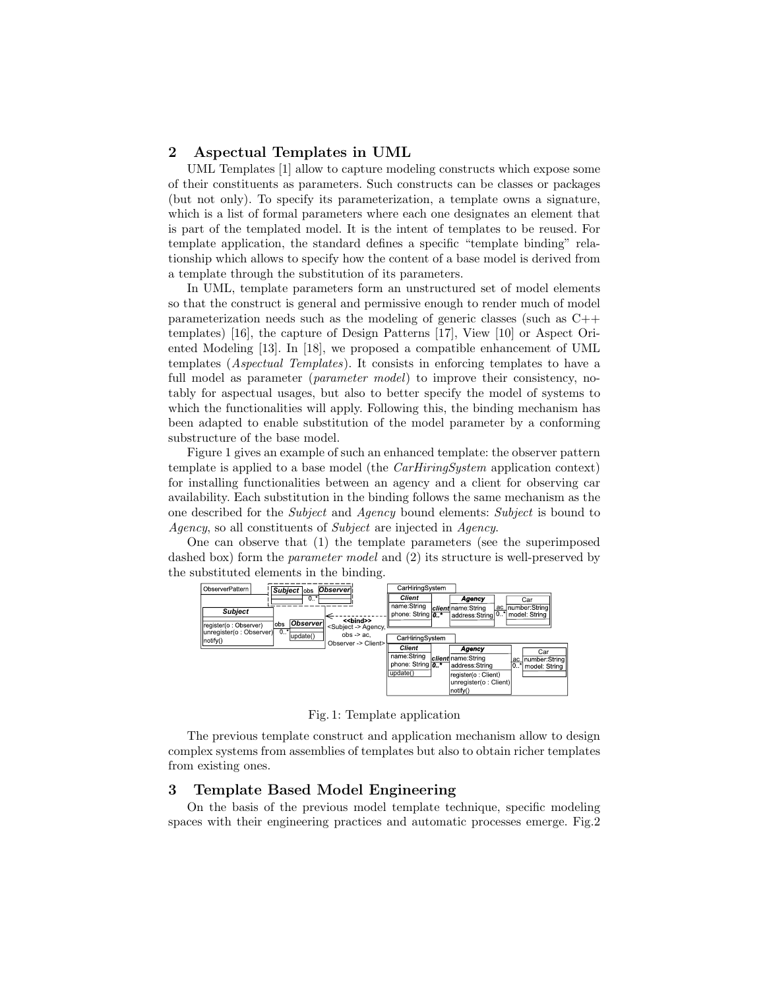### 2 Aspectual Templates in UML

UML Templates [\[1\]](#page-5-7) allow to capture modeling constructs which expose some of their constituents as parameters. Such constructs can be classes or packages (but not only). To specify its parameterization, a template owns a signature, which is a list of formal parameters where each one designates an element that is part of the templated model. It is the intent of templates to be reused. For template application, the standard defines a specific "template binding" relationship which allows to specify how the content of a base model is derived from a template through the substitution of its parameters.

In UML, template parameters form an unstructured set of model elements so that the construct is general and permissive enough to render much of model parameterization needs such as the modeling of generic classes (such as C++ templates) [\[16\]](#page-5-8), the capture of Design Patterns [\[17\]](#page-5-9), View [\[10\]](#page-5-10) or Aspect Oriented Modeling [\[13\]](#page-5-11). In [\[18\]](#page-5-12), we proposed a compatible enhancement of UML templates (Aspectual Templates). It consists in enforcing templates to have a full model as parameter (*parameter model*) to improve their consistency, notably for aspectual usages, but also to better specify the model of systems to which the functionalities will apply. Following this, the binding mechanism has been adapted to enable substitution of the model parameter by a conforming substructure of the base model.

Figure [1](#page-1-1) gives an example of such an enhanced template: the observer pattern template is applied to a base model (the *CarHiringSystem* application context) for installing functionalities between an agency and a client for observing car availability. Each substitution in the binding follows the same mechanism as the one described for the Subject and Agency bound elements: Subject is bound to Agency, so all constituents of Subject are injected in Agency.

One can observe that (1) the template parameters (see the superimposed dashed box) form the *parameter model* and  $(2)$  its structure is well-preserved by the substituted elements in the binding.

<span id="page-1-1"></span>

Fig. 1: Template application

The previous template construct and application mechanism allow to design complex systems from assemblies of templates but also to obtain richer templates from existing ones.

# <span id="page-1-0"></span>3 Template Based Model Engineering

On the basis of the previous model template technique, specific modeling spaces with their engineering practices and automatic processes emerge. Fig[.2](#page-2-1)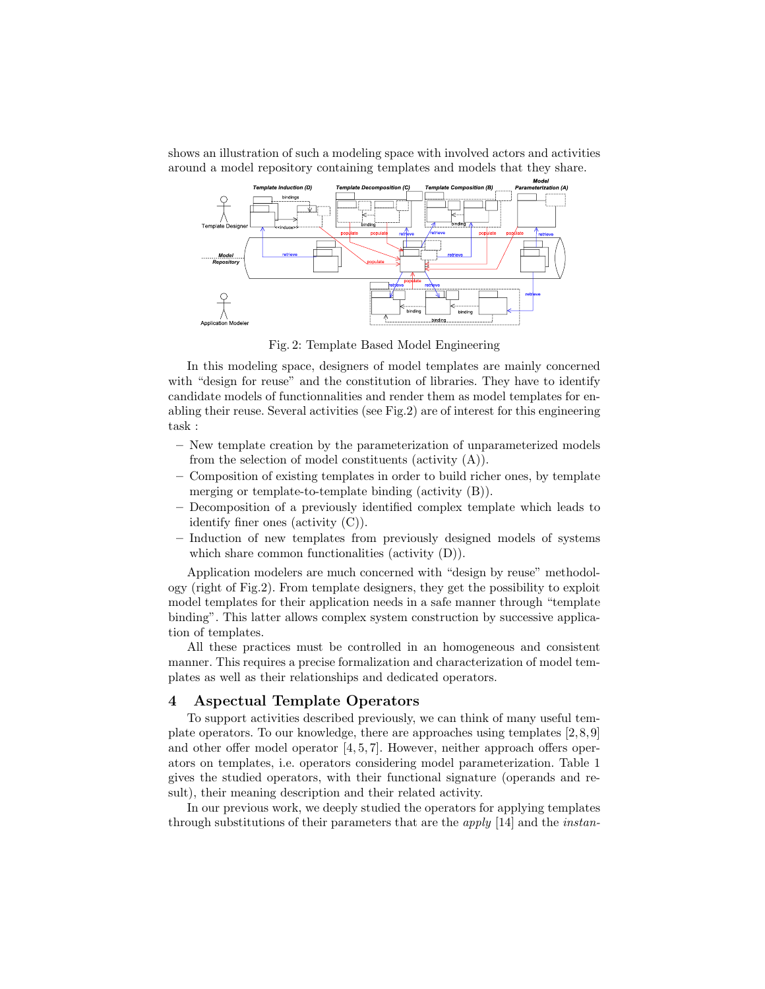<span id="page-2-1"></span>shows an illustration of such a modeling space with involved actors and activities around a model repository containing templates and models that they share.



Fig. 2: Template Based Model Engineering

In this modeling space, designers of model templates are mainly concerned with "design for reuse" and the constitution of libraries. They have to identify candidate models of functionnalities and render them as model templates for enabling their reuse. Several activities (see Fig[.2\)](#page-2-1) are of interest for this engineering task :

- New template creation by the parameterization of unparameterized models from the selection of model constituents (activity (A)).
- Composition of existing templates in order to build richer ones, by template merging or template-to-template binding (activity (B)).
- Decomposition of a previously identified complex template which leads to identify finer ones (activity (C)).
- Induction of new templates from previously designed models of systems which share common functionalities (activity (D)).

Application modelers are much concerned with "design by reuse" methodology (right of Fig[.2\)](#page-2-1). From template designers, they get the possibility to exploit model templates for their application needs in a safe manner through "template binding". This latter allows complex system construction by successive application of templates.

All these practices must be controlled in an homogeneous and consistent manner. This requires a precise formalization and characterization of model templates as well as their relationships and dedicated operators.

### <span id="page-2-0"></span>4 Aspectual Template Operators

To support activities described previously, we can think of many useful template operators. To our knowledge, there are approaches using templates [\[2,](#page-5-1) [8,](#page-5-13) [9\]](#page-5-14) and other offer model operator  $[4, 5, 7]$  $[4, 5, 7]$  $[4, 5, 7]$ . However, neither approach offers operators on templates, i.e. operators considering model parameterization. Table [1](#page-3-1) gives the studied operators, with their functional signature (operands and result), their meaning description and their related activity.

In our previous work, we deeply studied the operators for applying templates through substitutions of their parameters that are the apply [\[14\]](#page-5-4) and the instan-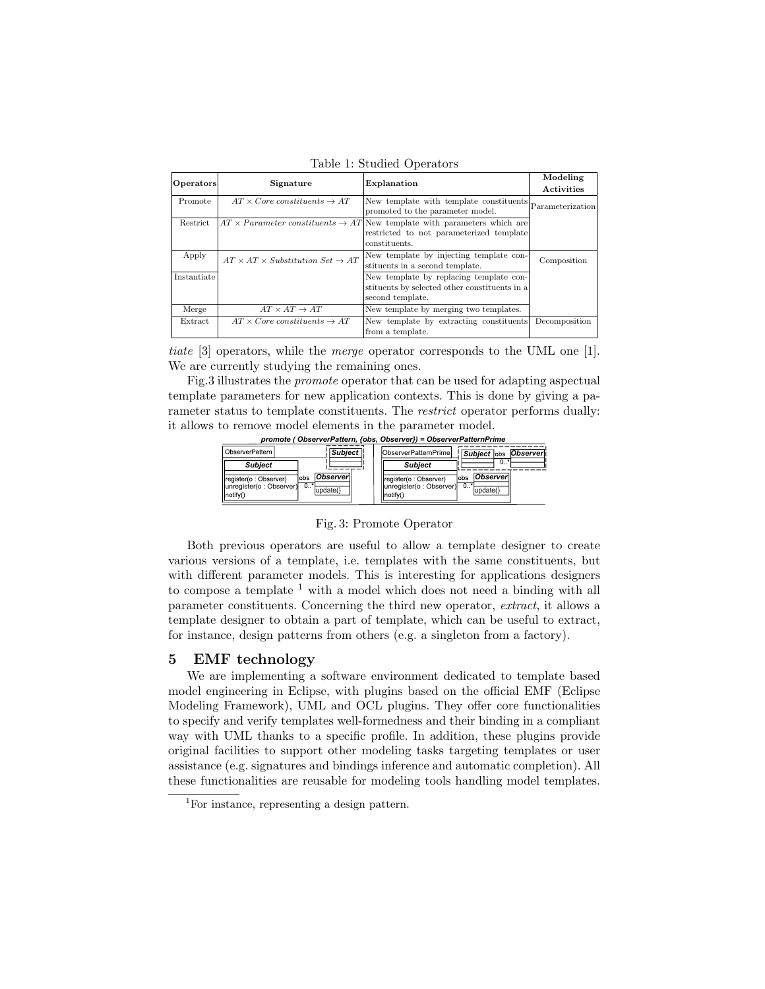<span id="page-3-1"></span>

| <b>Operators</b> | Signature                                             | Explanation                                                                                                                                             | Modeling<br>Activities |
|------------------|-------------------------------------------------------|---------------------------------------------------------------------------------------------------------------------------------------------------------|------------------------|
| Promote          | $AT \times Core$ constituents $\rightarrow AT$        | New template with template constituents<br>promoted to the parameter model.                                                                             | Parameterization       |
| Restrict         |                                                       | $AT \times Parameter$ constituents $\rightarrow AT$ New template with parameters which are<br>restricted to not parameterized template<br>constituents. |                        |
| Apply            | $AT \times AT \times Substitution Set \rightarrow AT$ | New template by injecting template con-<br>stituents in a second template.                                                                              | Composition            |
| Instantiate      |                                                       | New template by replacing template con-<br>stituents by selected other constituents in a<br>second template.                                            |                        |
| Merge            | $AT \times AT \rightarrow AT$                         | New template by merging two templates.                                                                                                                  |                        |
| <b>Extract</b>   | $AT \times Core$ constituents $\rightarrow AT$        | New template by extracting constituents<br>from a template.                                                                                             | Decomposition          |

Table 1: Studied Operators

tiate [\[3\]](#page-5-5) operators, while the merge operator corresponds to the UML one [\[1\]](#page-5-7). We are currently studying the remaining ones.

<span id="page-3-2"></span>Fig[.3](#page-3-2) illustrates the promote operator that can be used for adapting aspectual template parameters for new application contexts. This is done by giving a parameter status to template constituents. The restrict operator performs dually: it allows to remove model elements in the parameter model.

| ObserverPattern I                                             | <b>Subject</b>                         | <b>lObserverPatternPrimel</b><br>Observer<br><b>Subject</b> lobs                                                       |
|---------------------------------------------------------------|----------------------------------------|------------------------------------------------------------------------------------------------------------------------|
| <b>Subiect</b>                                                |                                        | $0$ .<br><b>Subiect</b>                                                                                                |
| register(o: Observer)<br>unregister(o: Observer)<br>Inotify() | Observer<br>lobs<br>. 0.*'<br>update() | <b>Observer</b><br>lobs<br>(register(o: Observer)<br>$\overline{0}$<br>unregister(o: Observer)<br>update()<br>(Inotify |

*promote ( ObserverPattern, {obs, Observer}) = ObserverPatternPrime*

#### Fig. 3: Promote Operator

Both previous operators are useful to allow a template designer to create various versions of a template, i.e. templates with the same constituents, but with different parameter models. This is interesting for applications designers to compose a template  $1$  with a model which does not need a binding with all parameter constituents. Concerning the third new operator, extract, it allows a template designer to obtain a part of template, which can be useful to extract, for instance, design patterns from others (e.g. a singleton from a factory).

#### <span id="page-3-0"></span>5 EMF technology

We are implementing a software environment dedicated to template based model engineering in Eclipse, with plugins based on the official EMF (Eclipse Modeling Framework), UML and OCL plugins. They offer core functionalities to specify and verify templates well-formedness and their binding in a compliant way with UML thanks to a specific profile. In addition, these plugins provide original facilities to support other modeling tasks targeting templates or user assistance (e.g. signatures and bindings inference and automatic completion). All these functionalities are reusable for modeling tools handling model templates.

<sup>&</sup>lt;sup>1</sup>For instance, representing a design pattern.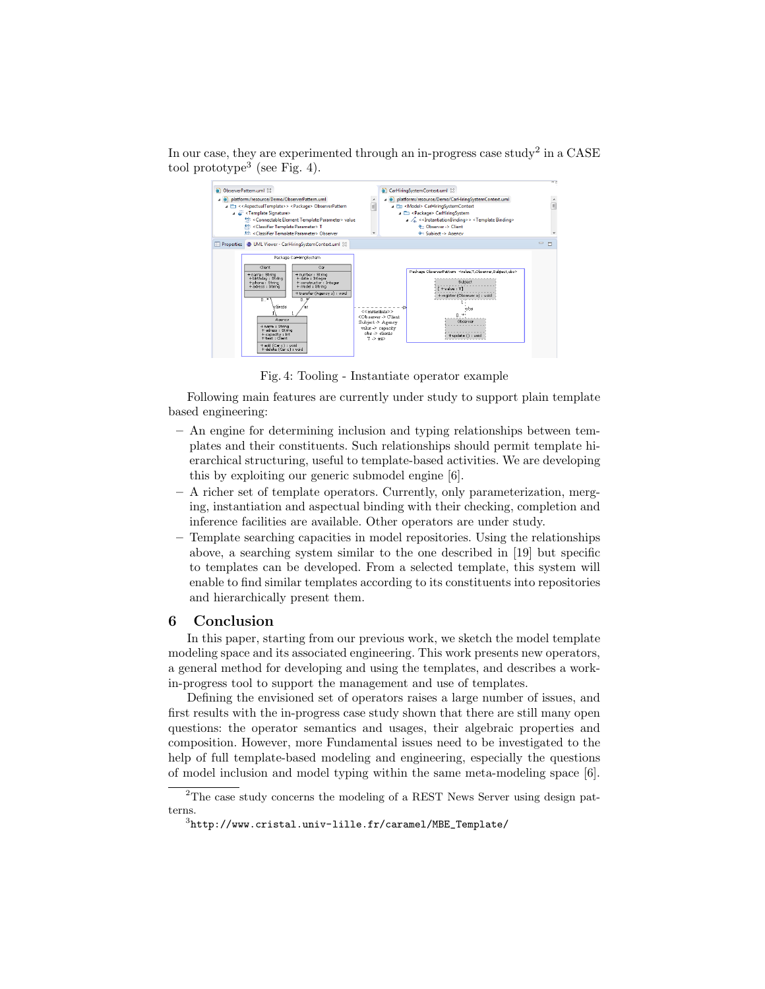<span id="page-4-0"></span>In our case, they are experimented through an in-progress case study<sup>[2](#page-0-1)</sup> in a CASE tool prototype<sup>[3](#page-0-1)</sup> (see Fig. [4\)](#page-4-0).



Fig. 4: Tooling - Instantiate operator example

Following main features are currently under study to support plain template based engineering:

- An engine for determining inclusion and typing relationships between templates and their constituents. Such relationships should permit template hierarchical structuring, useful to template-based activities. We are developing this by exploiting our generic submodel engine [\[6\]](#page-5-17).
- A richer set of template operators. Currently, only parameterization, merging, instantiation and aspectual binding with their checking, completion and inference facilities are available. Other operators are under study.
- Template searching capacities in model repositories. Using the relationships above, a searching system similar to the one described in [\[19\]](#page-5-18) but specific to templates can be developed. From a selected template, this system will enable to find similar templates according to its constituents into repositories and hierarchically present them.

# 6 Conclusion

In this paper, starting from our previous work, we sketch the model template modeling space and its associated engineering. This work presents new operators, a general method for developing and using the templates, and describes a workin-progress tool to support the management and use of templates.

Defining the envisioned set of operators raises a large number of issues, and first results with the in-progress case study shown that there are still many open questions: the operator semantics and usages, their algebraic properties and composition. However, more Fundamental issues need to be investigated to the help of full template-based modeling and engineering, especially the questions of model inclusion and model typing within the same meta-modeling space [\[6\]](#page-5-17).

 $\rm{^2The}$  case study concerns the modeling of a REST News Server using design patterns.

 $^3$ [http://www.cristal.univ-lille.fr/caramel/MBE\\_Template/](http://www.cristal.univ-lille.fr/caramel/MBE_Template/)